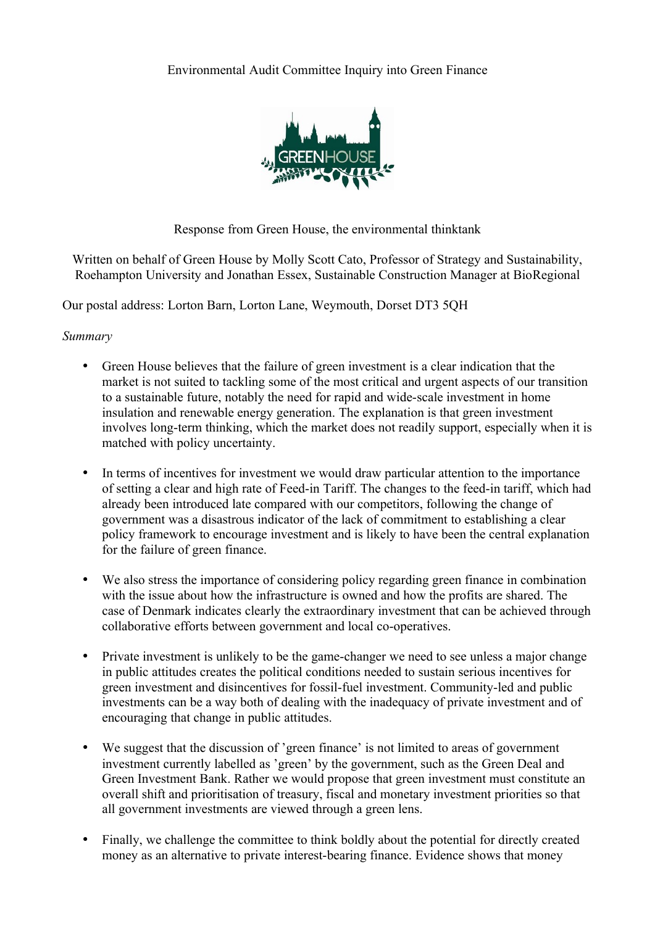

Response from Green House, the environmental thinktank

Written on behalf of Green House by Molly Scott Cato, Professor of Strategy and Sustainability, Roehampton University and Jonathan Essex, Sustainable Construction Manager at BioRegional

Our postal address: Lorton Barn, Lorton Lane, Weymouth, Dorset DT3 5QH

## *Summary*

- Green House believes that the failure of green investment is a clear indication that the market is not suited to tackling some of the most critical and urgent aspects of our transition to a sustainable future, notably the need for rapid and wide-scale investment in home insulation and renewable energy generation. The explanation is that green investment involves long-term thinking, which the market does not readily support, especially when it is matched with policy uncertainty.
- In terms of incentives for investment we would draw particular attention to the importance of setting a clear and high rate of Feed-in Tariff. The changes to the feed-in tariff, which had already been introduced late compared with our competitors, following the change of government was a disastrous indicator of the lack of commitment to establishing a clear policy framework to encourage investment and is likely to have been the central explanation for the failure of green finance.
- We also stress the importance of considering policy regarding green finance in combination with the issue about how the infrastructure is owned and how the profits are shared. The case of Denmark indicates clearly the extraordinary investment that can be achieved through collaborative efforts between government and local co-operatives.
- Private investment is unlikely to be the game-changer we need to see unless a major change in public attitudes creates the political conditions needed to sustain serious incentives for green investment and disincentives for fossil-fuel investment. Community-led and public investments can be a way both of dealing with the inadequacy of private investment and of encouraging that change in public attitudes.
- We suggest that the discussion of 'green finance' is not limited to areas of government investment currently labelled as 'green' by the government, such as the Green Deal and Green Investment Bank. Rather we would propose that green investment must constitute an overall shift and prioritisation of treasury, fiscal and monetary investment priorities so that all government investments are viewed through a green lens.
- Finally, we challenge the committee to think boldly about the potential for directly created money as an alternative to private interest-bearing finance. Evidence shows that money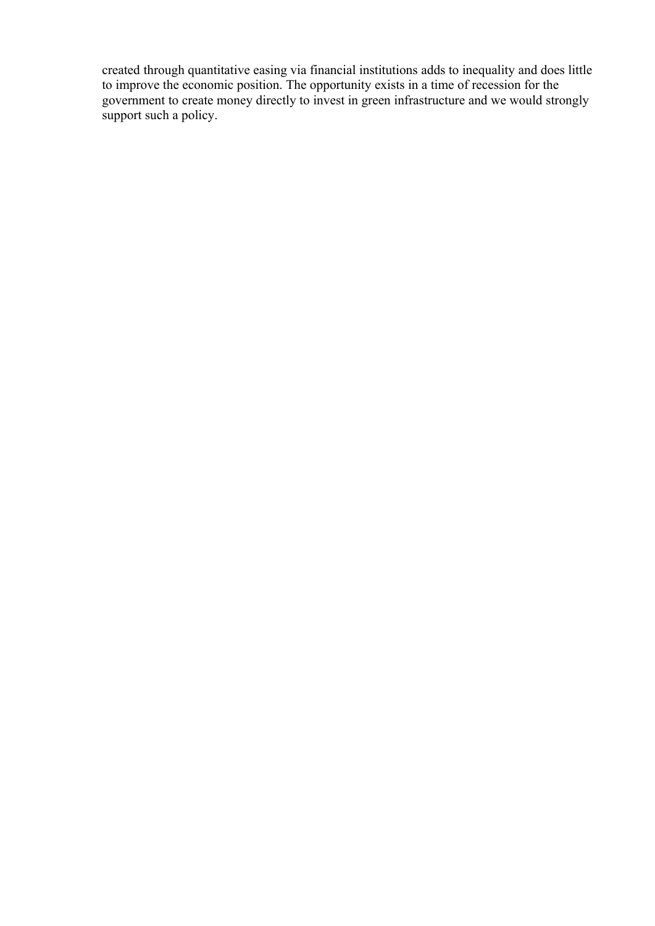created through quantitative easing via financial institutions adds to inequality and does little to improve the economic position. The opportunity exists in a time of recession for the government to create money directly to invest in green infrastructure and we would strongly support such a policy.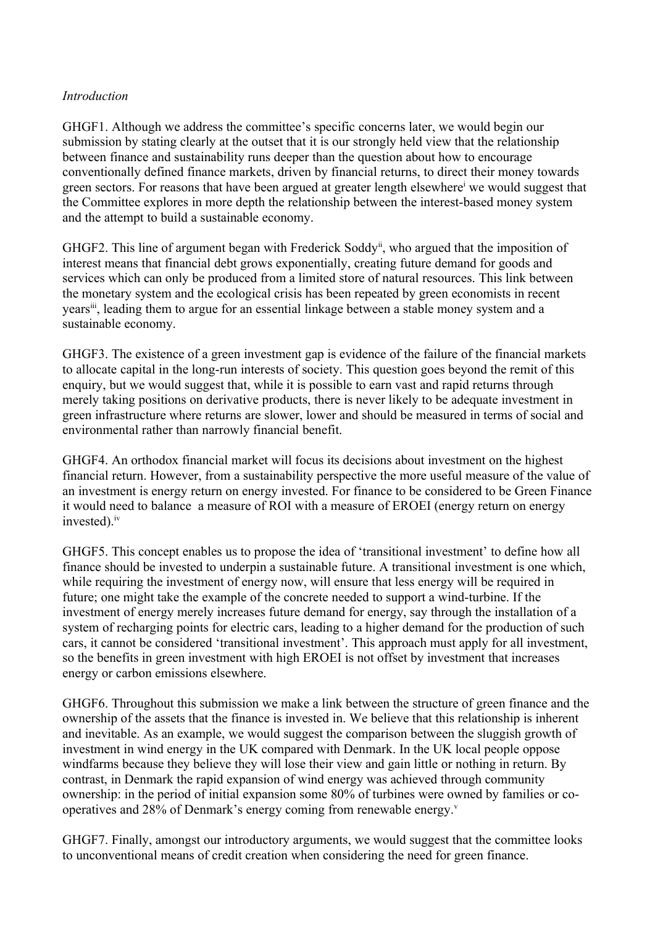## *Introduction*

GHGF1. Although we address the committee's specific concerns later, we would begin our submission by stating clearly at the outset that it is our strongly held view that the relationship between finance and sustainability runs deeper than the question about how to encourage conventionally defined finance markets, driven by financial returns, to direct their money towards green sectors. For reasons that have been argued at greater length elsewhere<sup>i</sup> we would suggest that the Committee explores in more depth the relationship between the interest-based money system and the attempt to build a sustainable economy.

GHGF2. This line of argument began with Frederick Soddy<sup>ii</sup>, who argued that the imposition of interest means that financial debt grows exponentially, creating future demand for goods and services which can only be produced from a limited store of natural resources. This link between the monetary system and the ecological crisis has been repeated by green economists in recent yearsiii, leading them to argue for an essential linkage between a stable money system and a sustainable economy.

GHGF3. The existence of a green investment gap is evidence of the failure of the financial markets to allocate capital in the long-run interests of society. This question goes beyond the remit of this enquiry, but we would suggest that, while it is possible to earn vast and rapid returns through merely taking positions on derivative products, there is never likely to be adequate investment in green infrastructure where returns are slower, lower and should be measured in terms of social and environmental rather than narrowly financial benefit.

GHGF4. An orthodox financial market will focus its decisions about investment on the highest financial return. However, from a sustainability perspective the more useful measure of the value of an investment is energy return on energy invested. For finance to be considered to be Green Finance it would need to balance a measure of ROI with a measure of EROEI (energy return on energy invested).<sup>iv</sup>

GHGF5. This concept enables us to propose the idea of 'transitional investment' to define how all finance should be invested to underpin a sustainable future. A transitional investment is one which, while requiring the investment of energy now, will ensure that less energy will be required in future; one might take the example of the concrete needed to support a wind-turbine. If the investment of energy merely increases future demand for energy, say through the installation of a system of recharging points for electric cars, leading to a higher demand for the production of such cars, it cannot be considered 'transitional investment'. This approach must apply for all investment, so the benefits in green investment with high EROEI is not offset by investment that increases energy or carbon emissions elsewhere.

GHGF6. Throughout this submission we make a link between the structure of green finance and the ownership of the assets that the finance is invested in. We believe that this relationship is inherent and inevitable. As an example, we would suggest the comparison between the sluggish growth of investment in wind energy in the UK compared with Denmark. In the UK local people oppose windfarms because they believe they will lose their view and gain little or nothing in return. By contrast, in Denmark the rapid expansion of wind energy was achieved through community ownership: in the period of initial expansion some 80% of turbines were owned by families or cooperatives and 28% of Denmark's energy coming from renewable energy.<sup>v</sup>

GHGF7. Finally, amongst our introductory arguments, we would suggest that the committee looks to unconventional means of credit creation when considering the need for green finance.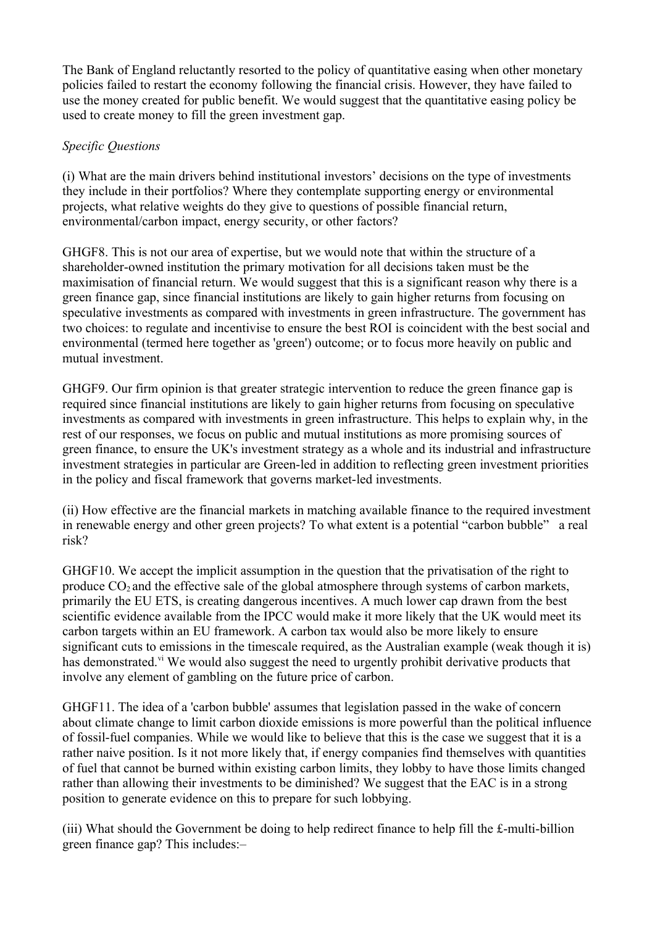The Bank of England reluctantly resorted to the policy of quantitative easing when other monetary policies failed to restart the economy following the financial crisis. However, they have failed to use the money created for public benefit. We would suggest that the quantitative easing policy be used to create money to fill the green investment gap.

## *Specific Questions*

(i) What are the main drivers behind institutional investors' decisions on the type of investments they include in their portfolios? Where they contemplate supporting energy or environmental projects, what relative weights do they give to questions of possible financial return, environmental/carbon impact, energy security, or other factors?

GHGF8. This is not our area of expertise, but we would note that within the structure of a shareholder-owned institution the primary motivation for all decisions taken must be the maximisation of financial return. We would suggest that this is a significant reason why there is a green finance gap, since financial institutions are likely to gain higher returns from focusing on speculative investments as compared with investments in green infrastructure. The government has two choices: to regulate and incentivise to ensure the best ROI is coincident with the best social and environmental (termed here together as 'green') outcome; or to focus more heavily on public and mutual investment.

GHGF9. Our firm opinion is that greater strategic intervention to reduce the green finance gap is required since financial institutions are likely to gain higher returns from focusing on speculative investments as compared with investments in green infrastructure. This helps to explain why, in the rest of our responses, we focus on public and mutual institutions as more promising sources of green finance, to ensure the UK's investment strategy as a whole and its industrial and infrastructure investment strategies in particular are Green-led in addition to reflecting green investment priorities in the policy and fiscal framework that governs market-led investments.

(ii) How effective are the financial markets in matching available finance to the required investment in renewable energy and other green projects? To what extent is a potential "carbon bubble" a real risk?

GHGF10. We accept the implicit assumption in the question that the privatisation of the right to produce  $CO<sub>2</sub>$  and the effective sale of the global atmosphere through systems of carbon markets, primarily the EU ETS, is creating dangerous incentives. A much lower cap drawn from the best scientific evidence available from the IPCC would make it more likely that the UK would meet its carbon targets within an EU framework. A carbon tax would also be more likely to ensure significant cuts to emissions in the timescale required, as the Australian example (weak though it is) has demonstrated.<sup>vi</sup> We would also suggest the need to urgently prohibit derivative products that involve any element of gambling on the future price of carbon.

GHGF11. The idea of a 'carbon bubble' assumes that legislation passed in the wake of concern about climate change to limit carbon dioxide emissions is more powerful than the political influence of fossil-fuel companies. While we would like to believe that this is the case we suggest that it is a rather naive position. Is it not more likely that, if energy companies find themselves with quantities of fuel that cannot be burned within existing carbon limits, they lobby to have those limits changed rather than allowing their investments to be diminished? We suggest that the EAC is in a strong position to generate evidence on this to prepare for such lobbying.

(iii) What should the Government be doing to help redirect finance to help fill the £-multi-billion green finance gap? This includes:–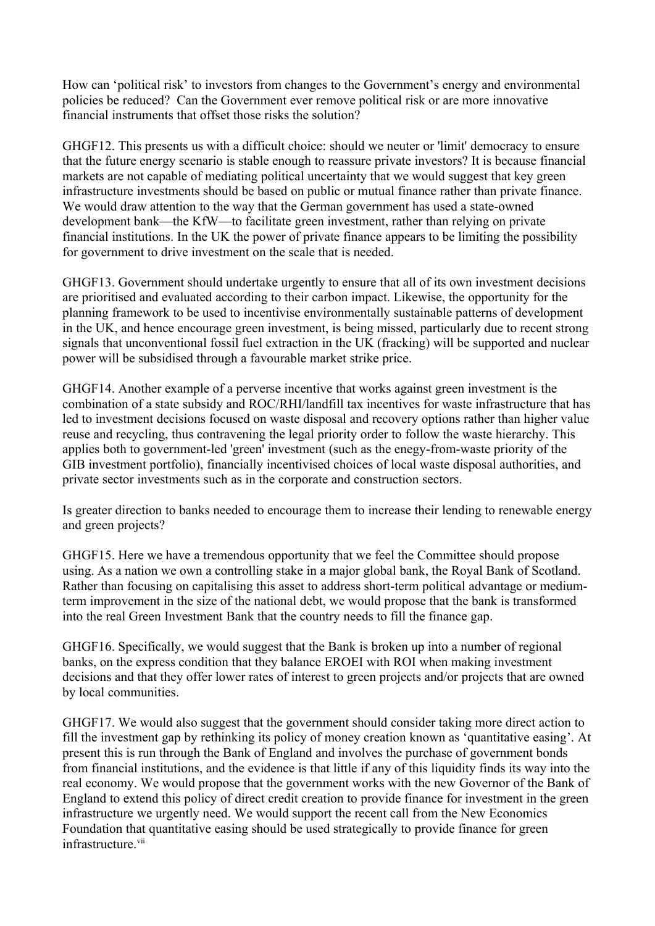How can 'political risk' to investors from changes to the Government's energy and environmental policies be reduced? Can the Government ever remove political risk or are more innovative financial instruments that offset those risks the solution?

GHGF12. This presents us with a difficult choice: should we neuter or 'limit' democracy to ensure that the future energy scenario is stable enough to reassure private investors? It is because financial markets are not capable of mediating political uncertainty that we would suggest that key green infrastructure investments should be based on public or mutual finance rather than private finance. We would draw attention to the way that the German government has used a state-owned development bank—the KfW—to facilitate green investment, rather than relying on private financial institutions. In the UK the power of private finance appears to be limiting the possibility for government to drive investment on the scale that is needed.

GHGF13. Government should undertake urgently to ensure that all of its own investment decisions are prioritised and evaluated according to their carbon impact. Likewise, the opportunity for the planning framework to be used to incentivise environmentally sustainable patterns of development in the UK, and hence encourage green investment, is being missed, particularly due to recent strong signals that unconventional fossil fuel extraction in the UK (fracking) will be supported and nuclear power will be subsidised through a favourable market strike price.

GHGF14. Another example of a perverse incentive that works against green investment is the combination of a state subsidy and ROC/RHI/landfill tax incentives for waste infrastructure that has led to investment decisions focused on waste disposal and recovery options rather than higher value reuse and recycling, thus contravening the legal priority order to follow the waste hierarchy. This applies both to government-led 'green' investment (such as the enegy-from-waste priority of the GIB investment portfolio), financially incentivised choices of local waste disposal authorities, and private sector investments such as in the corporate and construction sectors.

Is greater direction to banks needed to encourage them to increase their lending to renewable energy and green projects?

GHGF15. Here we have a tremendous opportunity that we feel the Committee should propose using. As a nation we own a controlling stake in a major global bank, the Royal Bank of Scotland. Rather than focusing on capitalising this asset to address short-term political advantage or mediumterm improvement in the size of the national debt, we would propose that the bank is transformed into the real Green Investment Bank that the country needs to fill the finance gap.

GHGF16. Specifically, we would suggest that the Bank is broken up into a number of regional banks, on the express condition that they balance EROEI with ROI when making investment decisions and that they offer lower rates of interest to green projects and/or projects that are owned by local communities.

GHGF17. We would also suggest that the government should consider taking more direct action to fill the investment gap by rethinking its policy of money creation known as 'quantitative easing'. At present this is run through the Bank of England and involves the purchase of government bonds from financial institutions, and the evidence is that little if any of this liquidity finds its way into the real economy. We would propose that the government works with the new Governor of the Bank of England to extend this policy of direct credit creation to provide finance for investment in the green infrastructure we urgently need. We would support the recent call from the New Economics Foundation that quantitative easing should be used strategically to provide finance for green infrastructure vii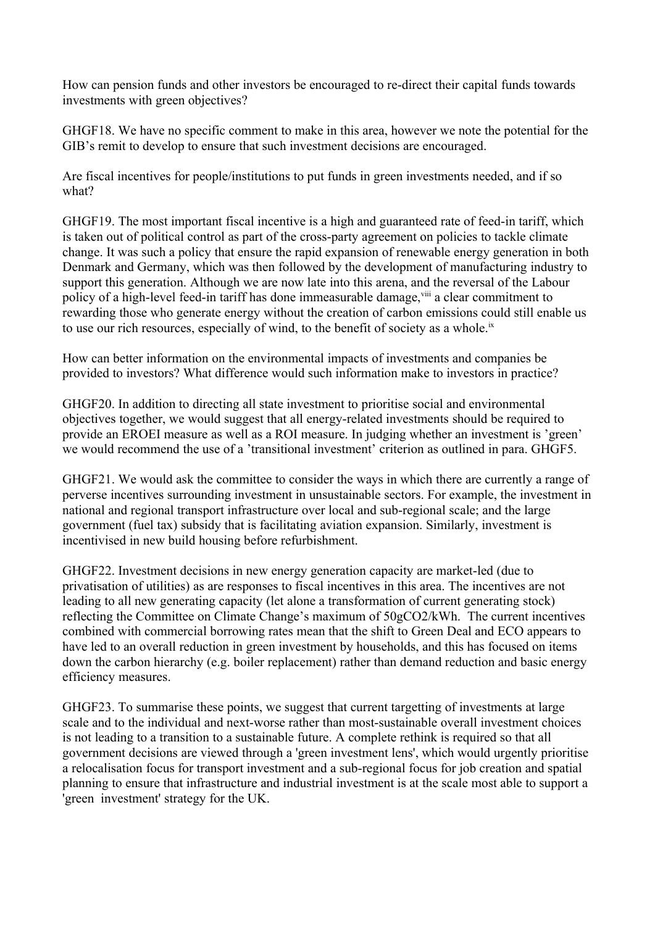How can pension funds and other investors be encouraged to re-direct their capital funds towards investments with green objectives?

GHGF18. We have no specific comment to make in this area, however we note the potential for the GIB's remit to develop to ensure that such investment decisions are encouraged.

Are fiscal incentives for people/institutions to put funds in green investments needed, and if so what?

GHGF19. The most important fiscal incentive is a high and guaranteed rate of feed-in tariff, which is taken out of political control as part of the cross-party agreement on policies to tackle climate change. It was such a policy that ensure the rapid expansion of renewable energy generation in both Denmark and Germany, which was then followed by the development of manufacturing industry to support this generation. Although we are now late into this arena, and the reversal of the Labour policy of a high-level feed-in tariff has done immeasurable damage, vili a clear commitment to rewarding those who generate energy without the creation of carbon emissions could still enable us to use our rich resources, especially of wind, to the benefit of society as a whole.<sup>ix</sup>

How can better information on the environmental impacts of investments and companies be provided to investors? What difference would such information make to investors in practice?

GHGF20. In addition to directing all state investment to prioritise social and environmental objectives together, we would suggest that all energy-related investments should be required to provide an EROEI measure as well as a ROI measure. In judging whether an investment is 'green' we would recommend the use of a 'transitional investment' criterion as outlined in para. GHGF5.

GHGF21. We would ask the committee to consider the ways in which there are currently a range of perverse incentives surrounding investment in unsustainable sectors. For example, the investment in national and regional transport infrastructure over local and sub-regional scale; and the large government (fuel tax) subsidy that is facilitating aviation expansion. Similarly, investment is incentivised in new build housing before refurbishment.

GHGF22. Investment decisions in new energy generation capacity are market-led (due to privatisation of utilities) as are responses to fiscal incentives in this area. The incentives are not leading to all new generating capacity (let alone a transformation of current generating stock) reflecting the Committee on Climate Change's maximum of 50gCO2/kWh. The current incentives combined with commercial borrowing rates mean that the shift to Green Deal and ECO appears to have led to an overall reduction in green investment by households, and this has focused on items down the carbon hierarchy (e.g. boiler replacement) rather than demand reduction and basic energy efficiency measures.

GHGF23. To summarise these points, we suggest that current targetting of investments at large scale and to the individual and next-worse rather than most-sustainable overall investment choices is not leading to a transition to a sustainable future. A complete rethink is required so that all government decisions are viewed through a 'green investment lens', which would urgently prioritise a relocalisation focus for transport investment and a sub-regional focus for job creation and spatial planning to ensure that infrastructure and industrial investment is at the scale most able to support a 'green investment' strategy for the UK.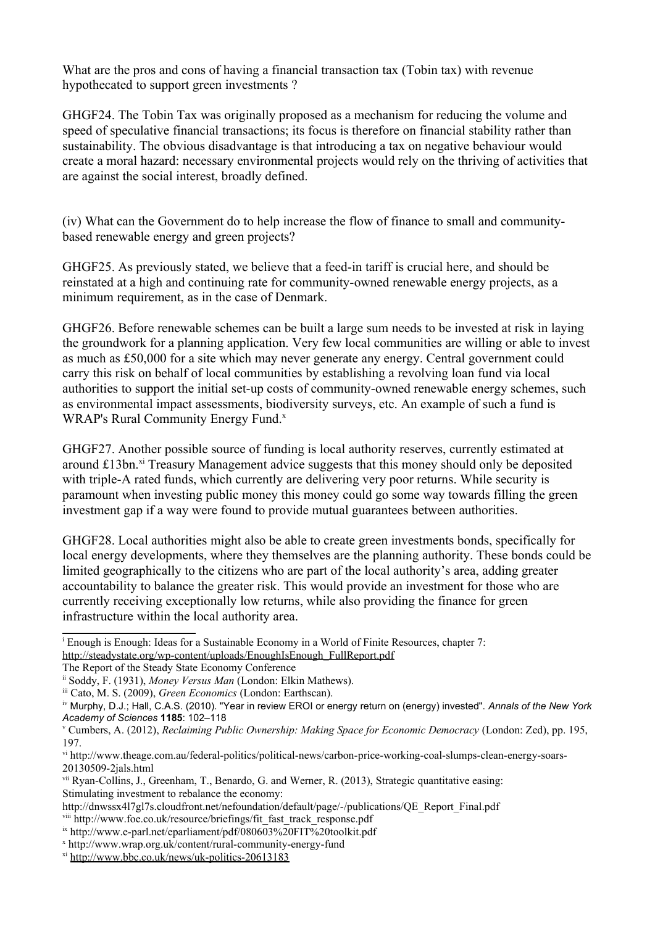What are the pros and cons of having a financial transaction tax (Tobin tax) with revenue hypothecated to support green investments ?

GHGF24. The Tobin Tax was originally proposed as a mechanism for reducing the volume and speed of speculative financial transactions; its focus is therefore on financial stability rather than sustainability. The obvious disadvantage is that introducing a tax on negative behaviour would create a moral hazard: necessary environmental projects would rely on the thriving of activities that are against the social interest, broadly defined.

(iv) What can the Government do to help increase the flow of finance to small and communitybased renewable energy and green projects?

GHGF25. As previously stated, we believe that a feed-in tariff is crucial here, and should be reinstated at a high and continuing rate for community-owned renewable energy projects, as a minimum requirement, as in the case of Denmark.

GHGF26. Before renewable schemes can be built a large sum needs to be invested at risk in laying the groundwork for a planning application. Very few local communities are willing or able to invest as much as £50,000 for a site which may never generate any energy. Central government could carry this risk on behalf of local communities by establishing a revolving loan fund via local authorities to support the initial set-up costs of community-owned renewable energy schemes, such as environmental impact assessments, biodiversity surveys, etc. An example of such a fund is WRAP's Rural Community Energy Fund.<sup>[x](#page-6-0)</sup>

GHGF27. Another possible source of funding is local authority reserves, currently estimated at around  $£13bn.$ <sup>[xi](#page-6-1)</sup> Treasury Management advice suggests that this money should only be deposited with triple-A rated funds, which currently are delivering very poor returns. While security is paramount when investing public money this money could go some way towards filling the green investment gap if a way were found to provide mutual guarantees between authorities.

GHGF28. Local authorities might also be able to create green investments bonds, specifically for local energy developments, where they themselves are the planning authority. These bonds could be limited geographically to the citizens who are part of the local authority's area, adding greater accountability to balance the greater risk. This would provide an investment for those who are currently receiving exceptionally low returns, while also providing the finance for green infrastructure within the local authority area.

<sup>i</sup> Enough is Enough: Ideas for a Sustainable Economy in a World of Finite Resources, chapter 7: [http://steadystate.org/wp-content/uploads/EnoughIsEnough\\_FullReport.pdf](http://steadystate.org/wp-content/uploads/EnoughIsEnough_FullReport.pdf)

The Report of the Steady State Economy Conference

ii Soddy, F. (1931), *Money Versus Man* (London: Elkin Mathews).

iii Cato, M. S. (2009), *Green Economics* (London: Earthscan).

iv Murphy, D.J.; Hall, C.A.S. (2010). "Year in review EROI or energy return on (energy) invested". *Annals of the New York Academy of Sciences* **1185**: 102–118

v Cumbers, A. (2012), *Reclaiming Public Ownership: Making Space for Economic Democracy* (London: Zed), pp. 195, 197.

vi http://www.theage.com.au/federal-politics/political-news/carbon-price-working-coal-slumps-clean-energy-soars-20130509-2jals.html

vii Ryan-Collins, J., Greenham, T., Benardo, G. and Werner, R. (2013), Strategic quantitative easing: Stimulating investment to rebalance the economy:

http://dnwssx4l7gl7s.cloudfront.net/nefoundation/default/page/-/publications/QE\_Report\_Final.pdf

viii http://www.foe.co.uk/resource/briefings/fit\_fast\_track\_response.pdf

ix http://www.e-parl.net/eparliament/pdf/080603%20FIT%20toolkit.pdf

<span id="page-6-0"></span><sup>x</sup> http://www.wrap.org.uk/content/rural-community-energy-fund

<span id="page-6-1"></span>xi <http://www.bbc.co.uk/news/uk-politics-20613183>